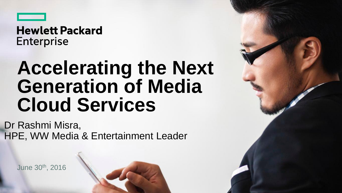

### **Hewlett Packard Enterprise**

## **Accelerating the Next Generation of Media Cloud Services**

Dr Rashmi Misra, HPE, WW Media & Entertainment Leader

June 30th , 2016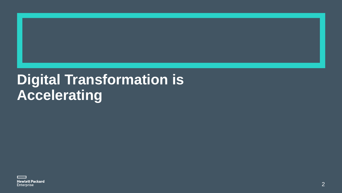## **Digital Transformation is Accelerating**

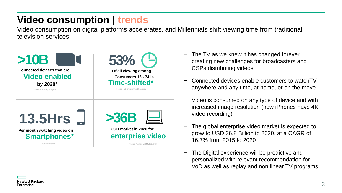### **Video consumption | trends**

Video consumption on digital platforms accelerates, and Millennials shift viewing time from traditional television services





\*Source: Hub Entertainment Research



**Per month watching video on Smartphones\***

\*Source: Nielsen

**USD market in 2020 for enterprise video** 

\*Source: Markets and Markets, 2016

- − The TV as we knew it has changed forever, creating new challenges for broadcasters and CSPs distributing videos
- − Connected devices enable customers to watchTV anywhere and any time, at home, or on the move
- Video is consumed on any type of device and with increased image resolution (new iPhones have 4K video recording)
- The global enterprise video market is expected to grow to USD 36.8 Billion to 2020, at a CAGR of 16.7% from 2015 to 2020
- − The Digital experience will be predictive and personalized with relevant recommendation for VoD as well as replay and non linear TV programs

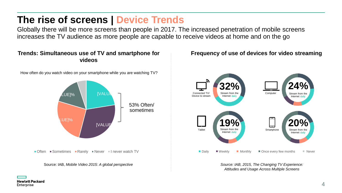### **The rise of screens | Device Trends**

Globally there will be more screens than people in 2017. The increased penetration of mobile screens increases the TV audience as more people are capable to receive videos at home and on the go

#### Trends: Simultaneous use of TV and smartphone for **Frequency of use of devices for video streaming videos**

How often do you watch video on your smartphone while you are watching TV?





*Attitudes and Usage Across Multiple Screens*

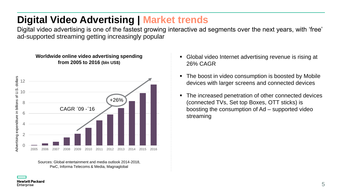### **Digital Video Advertising | Market trends**

Digital video advertising is one of the fastest growing interactive ad segments over the next years, with 'free' ad-supported streaming getting increasingly popular

#### **Worldwide online video advertising spending from 2005 to 2016 (bln US\$)**



Sources: Global entertainment and media outlook 2014-2018, PwC, Informa Telecoms & Media, Magnaglobal

- Global video Internet advertising revenue is rising at 26% CAGR
- **The boost in video consumption is boosted by Mobile** devices with larger screens and connected devices
- The increased penetration of other connected devices (connected TVs, Set top Boxes, OTT sticks) is boosting the consumption of Ad – supported video streaming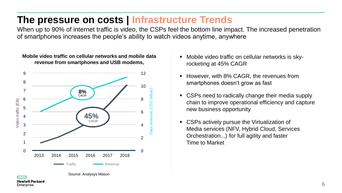### **The pressure on costs | Infrastructure Trends**

When up to 90% of internet traffic is video, the CSPs feel the bottom line impact. The increased penetration of smartphones increases the people's ability to watch videos anytime, anywhere



Enterprise

- Mobile video traffic on cellular networks is skyrocketing at 45% CAGR
- **However, with 8% CAGR, the revenues from** smartphones doesn't grow as fast
- CSPs need to radically change their media supply chain to improve operational efficiency and capture new business opportunity
- **CSPs actively pursue the Virtualization of** Media services (NFV, Hybrid Cloud, Services Orchestration...) for full agility and faster Time to Market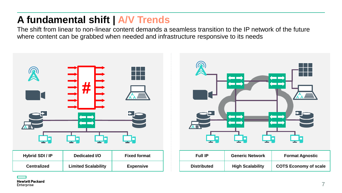### **A fundamental shift | A/V Trends**

The shift from linear to non-linear content demands a seamless transition to the IP network of the future where content can be grabbed when needed and infrastructure responsive to its needs





**Hewlett Packard** Enterprise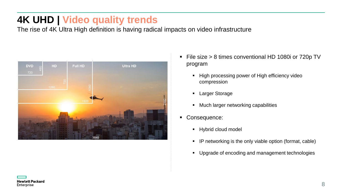### **4K UHD | Video quality trends**

The rise of 4K Ultra High definition is having radical impacts on video infrastructure



- File size > 8 times conventional HD 1080i or 720p TV program
	- **High processing power of High efficiency video** compression
	- **Larger Storage**
	- **Much larger networking capabilities**
- **Consequence:** 
	- **Hybrid cloud model**
	- **IF networking is the only viable option (format, cable)**
	- **Upgrade of encoding and management technologies**

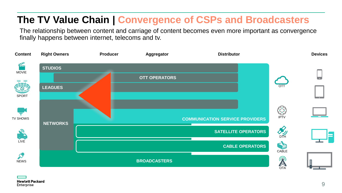### **The TV Value Chain | Convergence of CSPs and Broadcasters**

The relationship between content and carriage of content becomes even more important as convergence finally happens between internet, telecoms and tv.

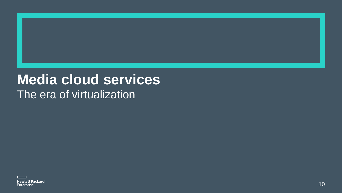### **Media cloud services** The era of virtualization

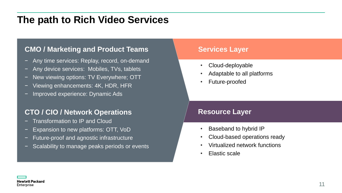### **The path to Rich Video Services**

### **CMO / Marketing and Product Teams**

- − Any time services: Replay, record, on-demand
- − Any device services: Mobiles, TVs, tablets
- − New viewing options: TV Everywhere; OTT
- Viewing enhancements: 4K, HDR, HFR
- − Improved experience: Dynamic Ads

#### **CTO / CIO / Network Operations**

- − Transformation to IP and Cloud
- − Expansion to new platforms: OTT, VoD
- − Future-proof and agnostic infrastructure
- Scalability to manage peaks periods or events

#### **Services Layer**

- Cloud-deployable
- Adaptable to all platforms
- Future-proofed

#### **Resource Layer**

- Baseband to hybrid IP
- Cloud-based operations ready
- Virtualized network functions
- Elastic scale

**Hewlett Packard** Enterprise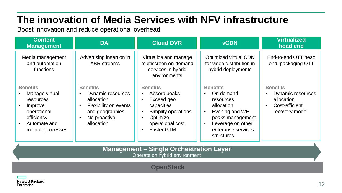### **The innovation of Media Services with NFV infrastructure**

Boost innovation and reduce operational overhead

| <b>Content</b><br><b>Management</b>                                                                                         | <b>DAI</b>                                                                                                                   | <b>Cloud DVR</b>                                                                                                                        | <b>vCDN</b>                                                                                                                                                                       | <b>Virtualized</b><br>head end                                                                      |
|-----------------------------------------------------------------------------------------------------------------------------|------------------------------------------------------------------------------------------------------------------------------|-----------------------------------------------------------------------------------------------------------------------------------------|-----------------------------------------------------------------------------------------------------------------------------------------------------------------------------------|-----------------------------------------------------------------------------------------------------|
| Media management<br>and automation<br>functions                                                                             | Advertising insertion in<br><b>ABR</b> streams                                                                               | Virtualize and manage<br>multiscreen on-demand<br>services in hybrid<br>environments                                                    | <b>Optimized virtual CDN</b><br>for video distribution in<br>hybrid deployments                                                                                                   | End-to-end OTT head<br>end, packaging OTT                                                           |
| <b>Benefits</b><br>Manage virtual<br>resources<br>Improve<br>operational<br>efficiency<br>Automate and<br>monitor processes | <b>Benefits</b><br>Dynamic resources<br>allocation<br>Flexibility on events<br>and geographies<br>No proactive<br>allocation | <b>Benefits</b><br>Absorb peaks<br>Exceed geo<br>capacities<br>Simplify operations<br>Optimize<br>operational cost<br><b>Faster GTM</b> | <b>Benefits</b><br>On demand<br>resources<br>allocation<br>Evening and WE<br>$\bullet$<br>peaks management<br>Leverage on other<br>$\bullet$<br>enterprise services<br>structures | <b>Benefits</b><br>Dynamic resources<br>allocation<br>Cost-efficient<br>$\bullet$<br>recovery model |
| <b>Management - Single Orchestration Layer</b><br>Operate on hybrid environment                                             |                                                                                                                              |                                                                                                                                         |                                                                                                                                                                                   |                                                                                                     |
| <b>OpenStack</b>                                                                                                            |                                                                                                                              |                                                                                                                                         |                                                                                                                                                                                   |                                                                                                     |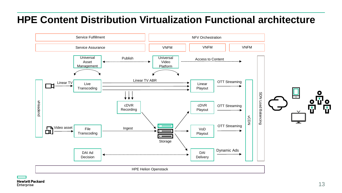### **HPE Content Distribution Virtualization Functional architecture**

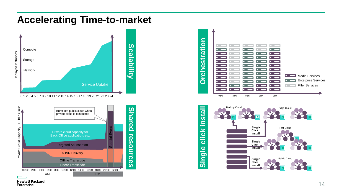### **Accelerating Time-to-market**









click install

**Hewlett Packard** Enterprise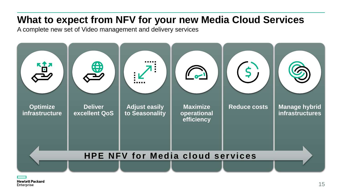### **What to expect from NFV for your new Media Cloud Services**

A complete new set of Video management and delivery services

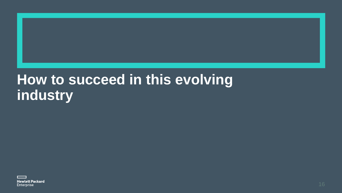### **How to succeed in this evolving industry**

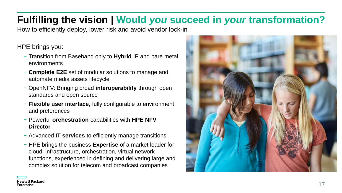### **Fulfilling the vision | Would** *you* **succeed in** *your* **transformation?**

How to efficiently deploy, lower risk and avoid vendor lock-in

HPE brings you:

- − Transition from Baseband only to **Hybrid** IP and bare metal environments
- − **Complete E2E** set of modular solutions to manage and automate media assets lifecycle
- − OpenNFV: Bringing broad **interoperability** through open standards and open source
- − **Flexible user interface**, fully configurable to environment and preferences
- − Powerful **orchestration** capabilities with **HPE NFV Director**
- − Advanced **IT services** to efficiently manage transitions
- − HPE brings the business **Expertise** of a market leader for cloud, infrastructure, orchestration, virtual network functions, experienced in defining and delivering large and complex solution for telecom and broadcast companies

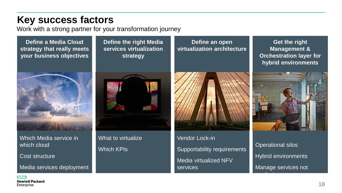### **Key success factors**

Work with a strong partner for your transformation journey

**Define a Media Cloud strategy that really meets your business objectives** 



Which Media service in which cloud

Cost structure

Media services deployment

**Define the right Media services virtualization strategy**



What to virtualize Which KPIs

Vendor Lock-in Supportability requirements Media virtualized NFV services

**Define an open virtualization architecture**

**Get the right Management & Orchestration layer for hybrid environments**



Operational silos Hybrid environments Manage services not

products and products are also

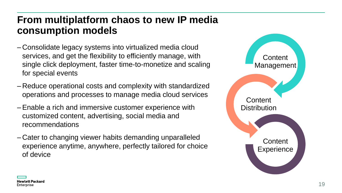### **From multiplatform chaos to new IP media consumption models**

- Consolidate legacy systems into virtualized media cloud services, and get the flexibility to efficiently manage, with single click deployment, faster time-to-monetize and scaling for special events
- Reduce operational costs and complexity with standardized operations and processes to manage media cloud services
- –Enable a rich and immersive customer experience with customized content, advertising, social media and recommendations
- Cater to changing viewer habits demanding unparalleled experience anytime, anywhere, perfectly tailored for choice of device



![](_page_18_Picture_6.jpeg)